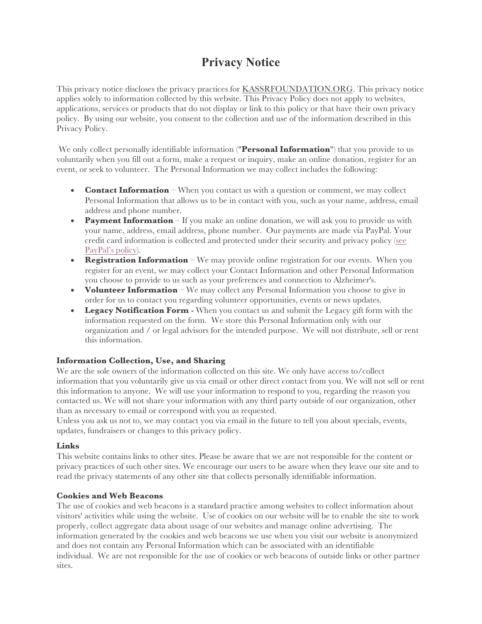# **Privacy Notice**

This privacy notice discloses the privacy practices for KASSRFOUNDATION.ORG. This privacy notice applies solely to information collected by this website. This Privacy Policy does not apply to websites, applications, services or products that do not display or link to this policy or that have their own privacy policy. By using our website, you consent to the collection and use of the information described in this Privacy Policy.

We only collect personally identifiable information ("**Personal Information**") that you provide to us voluntarily when you fill out a form, make a request or inquiry, make an online donation, register for an event, or seek to volunteer. The Personal Information we may collect includes the following:

- **Contact Information** When you contact us with a question or comment, we may collect Personal Information that allows us to be in contact with you, such as your name, address, email address and phone number.
- **Payment Information** If you make an online donation, we will ask you to provide us with your name, address, email address, phone number. Our payments are made via PayPal. Your credit card information is collected and protected under their security and privacy policy (see PayPal's policy).
- **Registration Information** We may provide online registration for our events. When you register for an event, we may collect your Contact Information and other Personal Information you choose to provide to us such as your preferences and connection to Alzheimer's.
- **Volunteer Information** We may collect any Personal Information you choose to give in order for us to contact you regarding volunteer opportunities, events or news updates.
- **Legacy Notification Form**  When you contact us and submit the Legacy gift form with the information requested on the form. We store this Personal Information only with our organization and / or legal advisors for the intended purpose. We will not distribute, sell or rent this information.

#### **Information Collection, Use, and Sharing**

We are the sole owners of the information collected on this site. We only have access to/collect information that you voluntarily give us via email or other direct contact from you. We will not sell or rent this information to anyone. We will use your information to respond to you, regarding the reason you contacted us. We will not share your information with any third party outside of our organization, other than as necessary to email or correspond with you as requested.

Unless you ask us not to, we may contact you via email in the future to tell you about specials, events, updates, fundraisers or changes to this privacy policy.

#### **Links**

This website contains links to other sites. Please be aware that we are not responsible for the content or privacy practices of such other sites. We encourage our users to be aware when they leave our site and to read the privacy statements of any other site that collects personally identifiable information.

#### **Cookies and Web Beacons**

The use of cookies and web beacons is a standard practice among websites to collect information about visitors' activities while using the website. Use of cookies on our website will be to enable the site to work properly, collect aggregate data about usage of our websites and manage online advertising. The information generated by the cookies and web beacons we use when you visit our website is anonymized and does not contain any Personal Information which can be associated with an identifiable individual. We are not responsible for the use of cookies or web beacons of outside links or other partner sites.